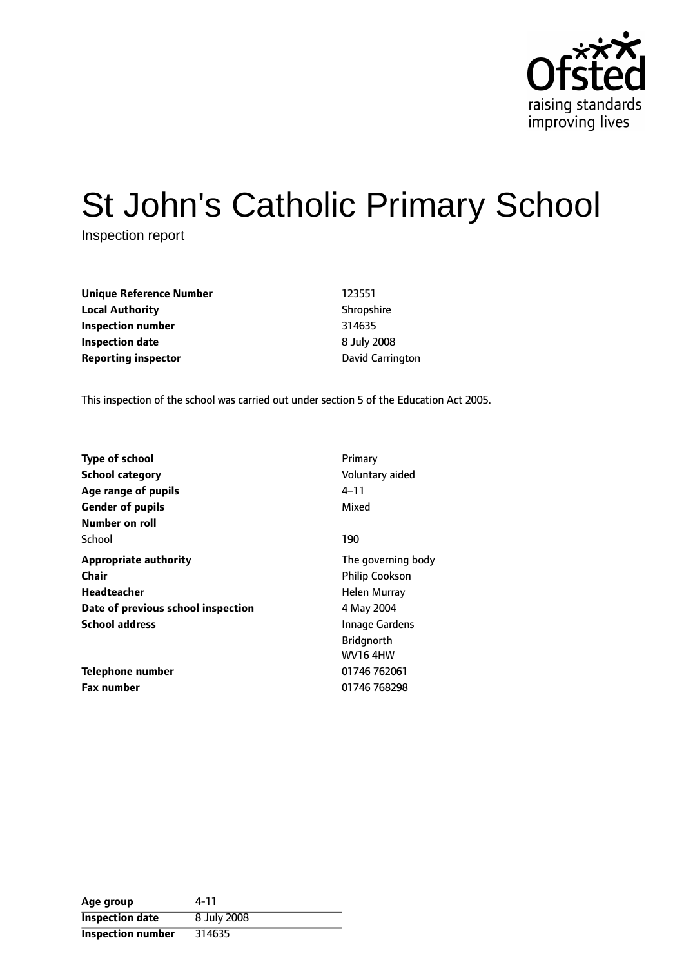

# St John's Catholic Primary School

Inspection report

**Unique Reference Number** 123551 **Local Authority** Shropshire **Inspection number** 314635 **Inspection date** 8 July 2008 **Reporting inspector Carrington Carrington** 

This inspection of the school was carried out under section 5 of the Education Act 2005.

| <b>Type of school</b>                         | Primary                 |
|-----------------------------------------------|-------------------------|
| <b>School category</b><br>Age range of pupils | Voluntary aided<br>4–11 |
| <b>Gender of pupils</b>                       | Mixed                   |
| Number on roll                                |                         |
| School                                        | 190                     |
| <b>Appropriate authority</b>                  | The governing body      |
| <b>Chair</b>                                  | <b>Philip Cookson</b>   |
| Headteacher                                   | Helen Murray            |
| Date of previous school inspection            | 4 May 2004              |
| <b>School address</b>                         | <b>Innage Gardens</b>   |
|                                               | <b>Bridgnorth</b>       |
|                                               | <b>WV164HW</b>          |
| Telephone number                              | 01746 762061            |
| <b>Fax number</b>                             | 01746 768298            |

| Age group                | 4-11        |
|--------------------------|-------------|
| <b>Inspection date</b>   | 8 July 2008 |
| <b>Inspection number</b> | 314635      |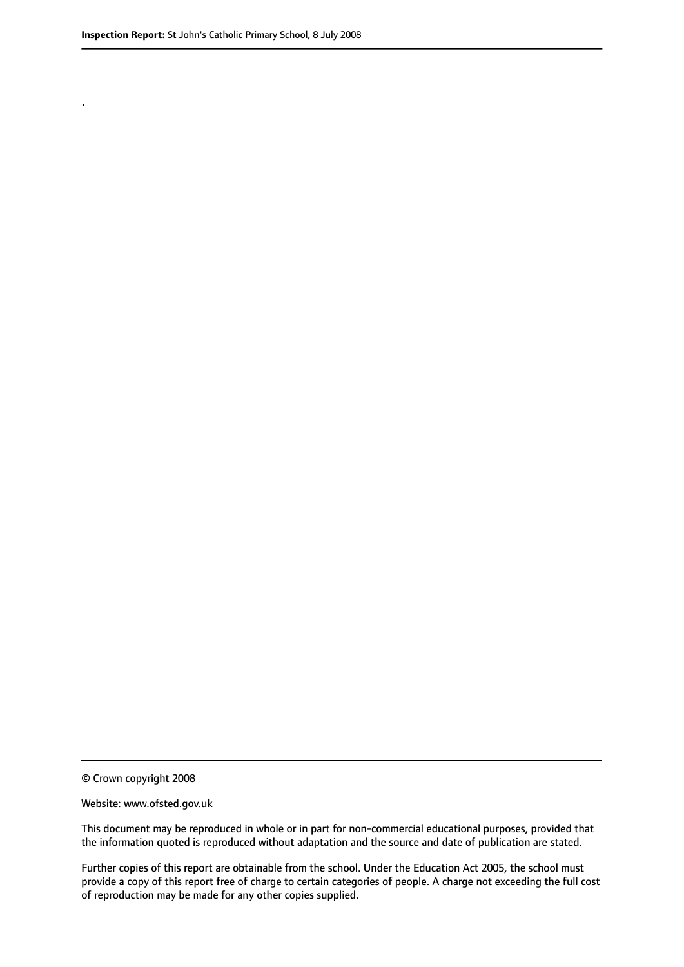.

© Crown copyright 2008

#### Website: www.ofsted.gov.uk

This document may be reproduced in whole or in part for non-commercial educational purposes, provided that the information quoted is reproduced without adaptation and the source and date of publication are stated.

Further copies of this report are obtainable from the school. Under the Education Act 2005, the school must provide a copy of this report free of charge to certain categories of people. A charge not exceeding the full cost of reproduction may be made for any other copies supplied.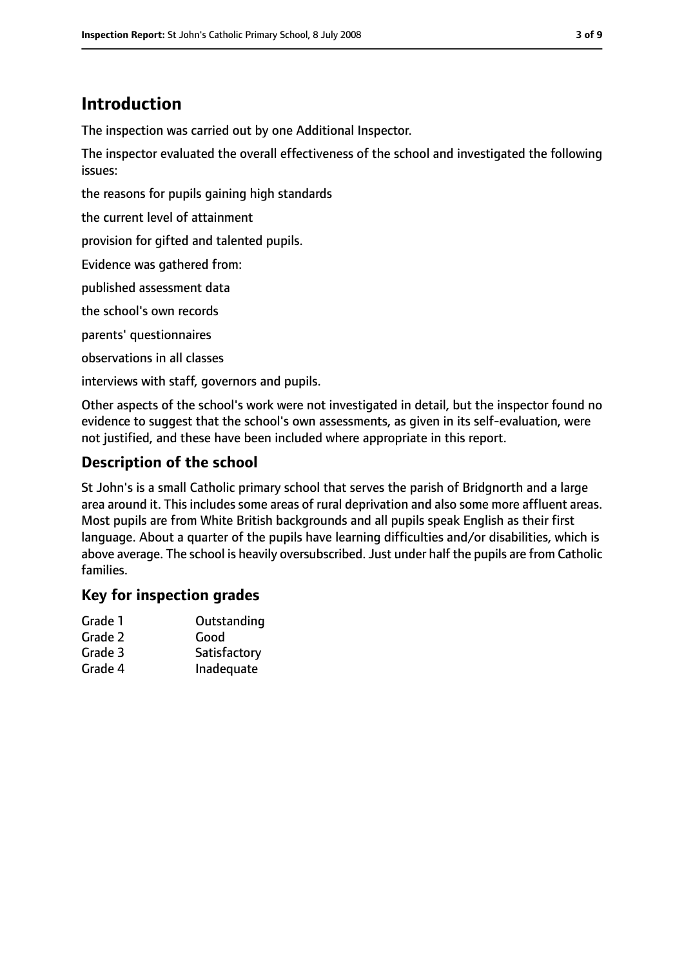## **Introduction**

The inspection was carried out by one Additional Inspector.

The inspector evaluated the overall effectiveness of the school and investigated the following issues:

the reasons for pupils gaining high standards

the current level of attainment

provision for gifted and talented pupils.

Evidence was gathered from:

published assessment data

the school's own records

parents' questionnaires

observations in all classes

interviews with staff, governors and pupils.

Other aspects of the school's work were not investigated in detail, but the inspector found no evidence to suggest that the school's own assessments, as given in its self-evaluation, were not justified, and these have been included where appropriate in this report.

## **Description of the school**

St John's is a small Catholic primary school that serves the parish of Bridgnorth and a large area around it. This includes some areas of rural deprivation and also some more affluent areas. Most pupils are from White British backgrounds and all pupils speak English as their first language. About a quarter of the pupils have learning difficulties and/or disabilities, which is above average. The school is heavily oversubscribed. Just under half the pupils are from Catholic families.

## **Key for inspection grades**

| Grade 1 | Outstanding  |
|---------|--------------|
| Grade 2 | Good         |
| Grade 3 | Satisfactory |
| Grade 4 | Inadequate   |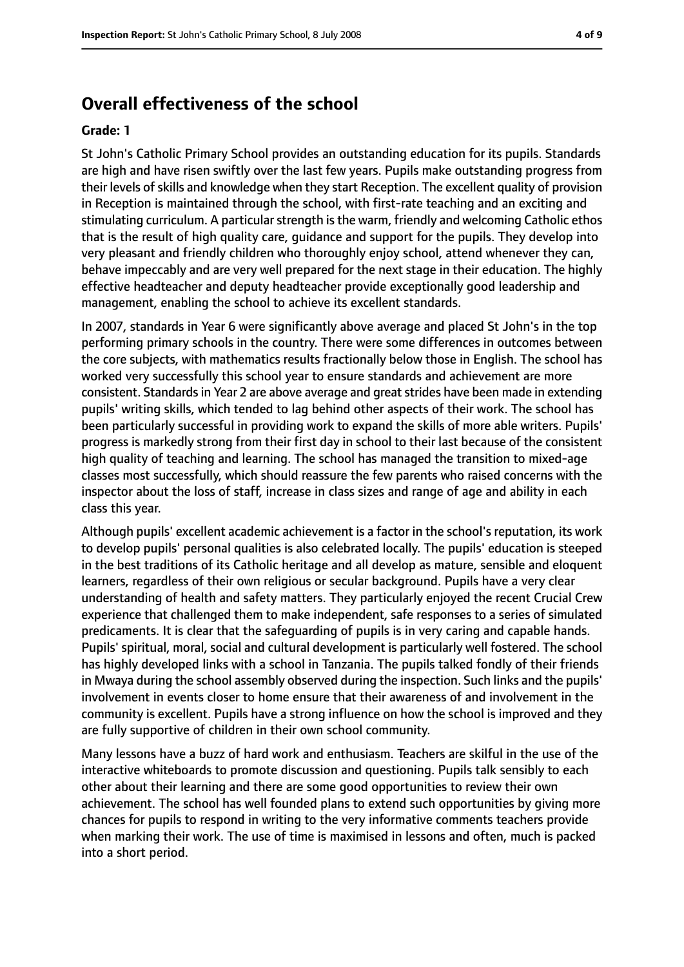## **Overall effectiveness of the school**

#### **Grade: 1**

St John's Catholic Primary School provides an outstanding education for its pupils. Standards are high and have risen swiftly over the last few years. Pupils make outstanding progress from their levels ofskills and knowledge when they start Reception. The excellent quality of provision in Reception is maintained through the school, with first-rate teaching and an exciting and stimulating curriculum. A particular strength is the warm, friendly and welcoming Catholic ethos that is the result of high quality care, guidance and support for the pupils. They develop into very pleasant and friendly children who thoroughly enjoy school, attend whenever they can, behave impeccably and are very well prepared for the next stage in their education. The highly effective headteacher and deputy headteacher provide exceptionally good leadership and management, enabling the school to achieve its excellent standards.

In 2007, standards in Year 6 were significantly above average and placed St John's in the top performing primary schools in the country. There were some differences in outcomes between the core subjects, with mathematics results fractionally below those in English. The school has worked very successfully this school year to ensure standards and achievement are more consistent. Standards in Year 2 are above average and great strides have been made in extending pupils' writing skills, which tended to lag behind other aspects of their work. The school has been particularly successful in providing work to expand the skills of more able writers. Pupils' progress is markedly strong from their first day in school to their last because of the consistent high quality of teaching and learning. The school has managed the transition to mixed-age classes most successfully, which should reassure the few parents who raised concerns with the inspector about the loss of staff, increase in class sizes and range of age and ability in each class this year.

Although pupils' excellent academic achievement is a factor in the school's reputation, its work to develop pupils' personal qualities is also celebrated locally. The pupils' education is steeped in the best traditions of its Catholic heritage and all develop as mature, sensible and eloquent learners, regardless of their own religious or secular background. Pupils have a very clear understanding of health and safety matters. They particularly enjoyed the recent Crucial Crew experience that challenged them to make independent, safe responses to a series of simulated predicaments. It is clear that the safeguarding of pupils is in very caring and capable hands. Pupils' spiritual, moral, social and cultural development is particularly well fostered. The school has highly developed links with a school in Tanzania. The pupils talked fondly of their friends in Mwaya during the school assembly observed during the inspection. Such links and the pupils' involvement in events closer to home ensure that their awareness of and involvement in the community is excellent. Pupils have a strong influence on how the school is improved and they are fully supportive of children in their own school community.

Many lessons have a buzz of hard work and enthusiasm. Teachers are skilful in the use of the interactive whiteboards to promote discussion and questioning. Pupils talk sensibly to each other about their learning and there are some good opportunities to review their own achievement. The school has well founded plans to extend such opportunities by giving more chances for pupils to respond in writing to the very informative comments teachers provide when marking their work. The use of time is maximised in lessons and often, much is packed into a short period.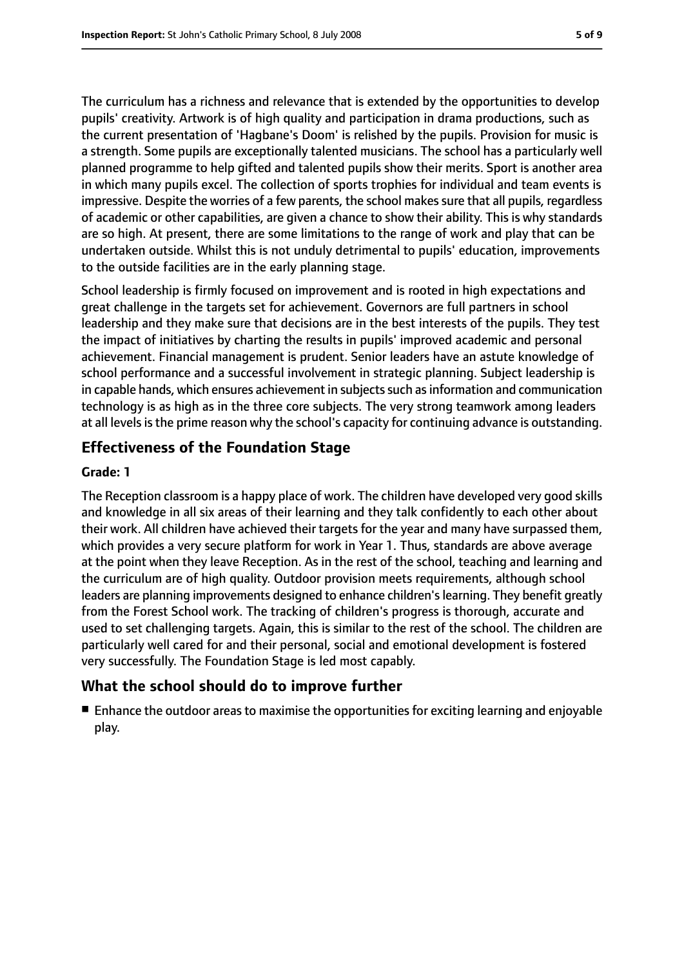The curriculum has a richness and relevance that is extended by the opportunities to develop pupils' creativity. Artwork is of high quality and participation in drama productions, such as the current presentation of 'Hagbane's Doom' is relished by the pupils. Provision for music is a strength. Some pupils are exceptionally talented musicians. The school has a particularly well planned programme to help gifted and talented pupils show their merits. Sport is another area in which many pupils excel. The collection of sports trophies for individual and team events is impressive. Despite the worries of a few parents, the school makes sure that all pupils, regardless of academic or other capabilities, are given a chance to show their ability. This is why standards are so high. At present, there are some limitations to the range of work and play that can be undertaken outside. Whilst this is not unduly detrimental to pupils' education, improvements to the outside facilities are in the early planning stage.

School leadership is firmly focused on improvement and is rooted in high expectations and great challenge in the targets set for achievement. Governors are full partners in school leadership and they make sure that decisions are in the best interests of the pupils. They test the impact of initiatives by charting the results in pupils' improved academic and personal achievement. Financial management is prudent. Senior leaders have an astute knowledge of school performance and a successful involvement in strategic planning. Subject leadership is in capable hands, which ensures achievement in subjects such as information and communication technology is as high as in the three core subjects. The very strong teamwork among leaders at all levels is the prime reason why the school's capacity for continuing advance is outstanding.

## **Effectiveness of the Foundation Stage**

### **Grade: 1**

The Reception classroom is a happy place of work. The children have developed very good skills and knowledge in all six areas of their learning and they talk confidently to each other about their work. All children have achieved their targets for the year and many have surpassed them, which provides a very secure platform for work in Year 1. Thus, standards are above average at the point when they leave Reception. As in the rest of the school, teaching and learning and the curriculum are of high quality. Outdoor provision meets requirements, although school leaders are planning improvements designed to enhance children's learning. They benefit greatly from the Forest School work. The tracking of children's progress is thorough, accurate and used to set challenging targets. Again, this is similar to the rest of the school. The children are particularly well cared for and their personal, social and emotional development is fostered very successfully. The Foundation Stage is led most capably.

## **What the school should do to improve further**

■ Enhance the outdoor areas to maximise the opportunities for exciting learning and enjoyable play.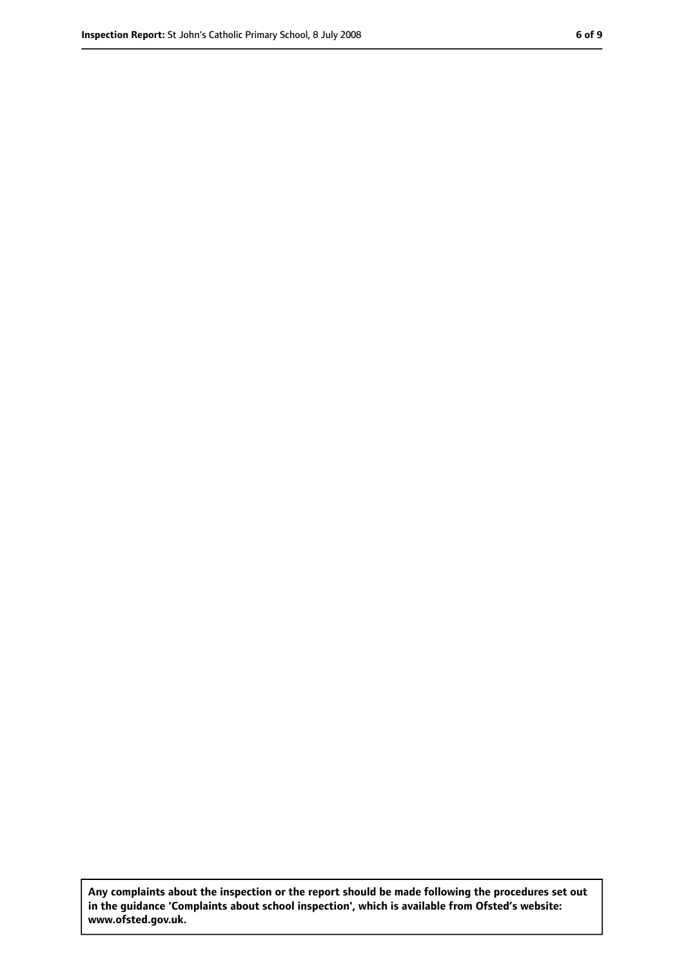**Any complaints about the inspection or the report should be made following the procedures set out in the guidance 'Complaints about school inspection', which is available from Ofsted's website: www.ofsted.gov.uk.**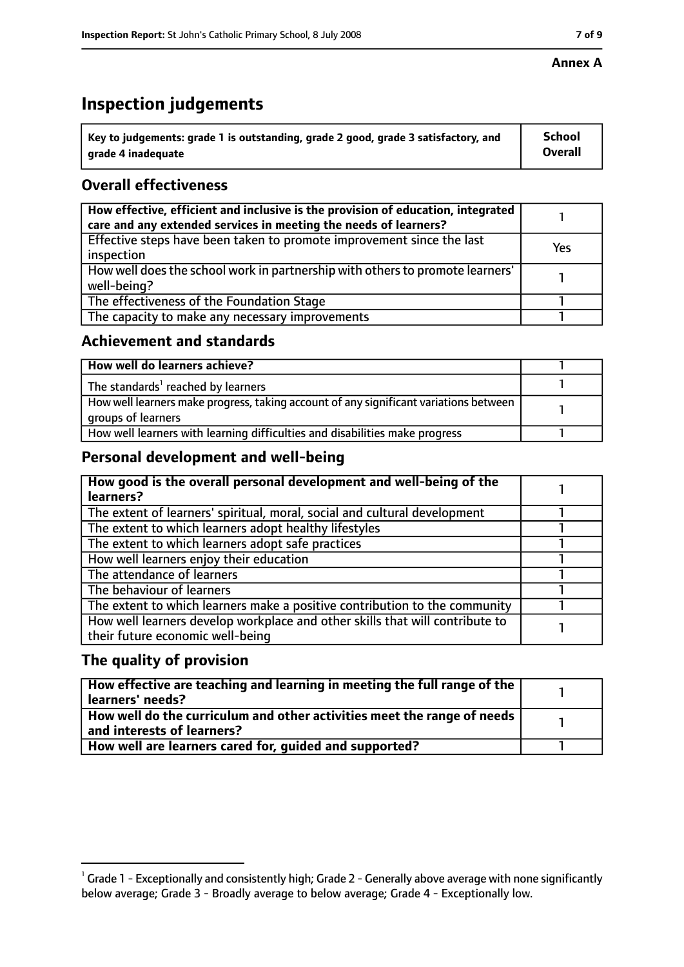#### **Annex A**

# **Inspection judgements**

| $^{\backprime}$ Key to judgements: grade 1 is outstanding, grade 2 good, grade 3 satisfactory, and | School         |
|----------------------------------------------------------------------------------------------------|----------------|
| arade 4 inadeguate                                                                                 | <b>Overall</b> |

## **Overall effectiveness**

| How effective, efficient and inclusive is the provision of education, integrated<br>care and any extended services in meeting the needs of learners? |     |
|------------------------------------------------------------------------------------------------------------------------------------------------------|-----|
| Effective steps have been taken to promote improvement since the last<br>inspection                                                                  | Yes |
| How well does the school work in partnership with others to promote learners'<br>well-being?                                                         |     |
| The effectiveness of the Foundation Stage                                                                                                            |     |
| The capacity to make any necessary improvements                                                                                                      |     |

## **Achievement and standards**

| How well do learners achieve?                                                                               |  |
|-------------------------------------------------------------------------------------------------------------|--|
| The standards <sup>1</sup> reached by learners                                                              |  |
| How well learners make progress, taking account of any significant variations between<br>groups of learners |  |
| How well learners with learning difficulties and disabilities make progress                                 |  |

## **Personal development and well-being**

| How good is the overall personal development and well-being of the<br>learners?                                  |  |
|------------------------------------------------------------------------------------------------------------------|--|
| The extent of learners' spiritual, moral, social and cultural development                                        |  |
| The extent to which learners adopt healthy lifestyles                                                            |  |
| The extent to which learners adopt safe practices                                                                |  |
| How well learners enjoy their education                                                                          |  |
| The attendance of learners                                                                                       |  |
| The behaviour of learners                                                                                        |  |
| The extent to which learners make a positive contribution to the community                                       |  |
| How well learners develop workplace and other skills that will contribute to<br>their future economic well-being |  |

## **The quality of provision**

| How effective are teaching and learning in meeting the full range of the<br>learners' needs?          |  |
|-------------------------------------------------------------------------------------------------------|--|
| How well do the curriculum and other activities meet the range of needs<br>and interests of learners? |  |
| How well are learners cared for, quided and supported?                                                |  |

 $^1$  Grade 1 - Exceptionally and consistently high; Grade 2 - Generally above average with none significantly below average; Grade 3 - Broadly average to below average; Grade 4 - Exceptionally low.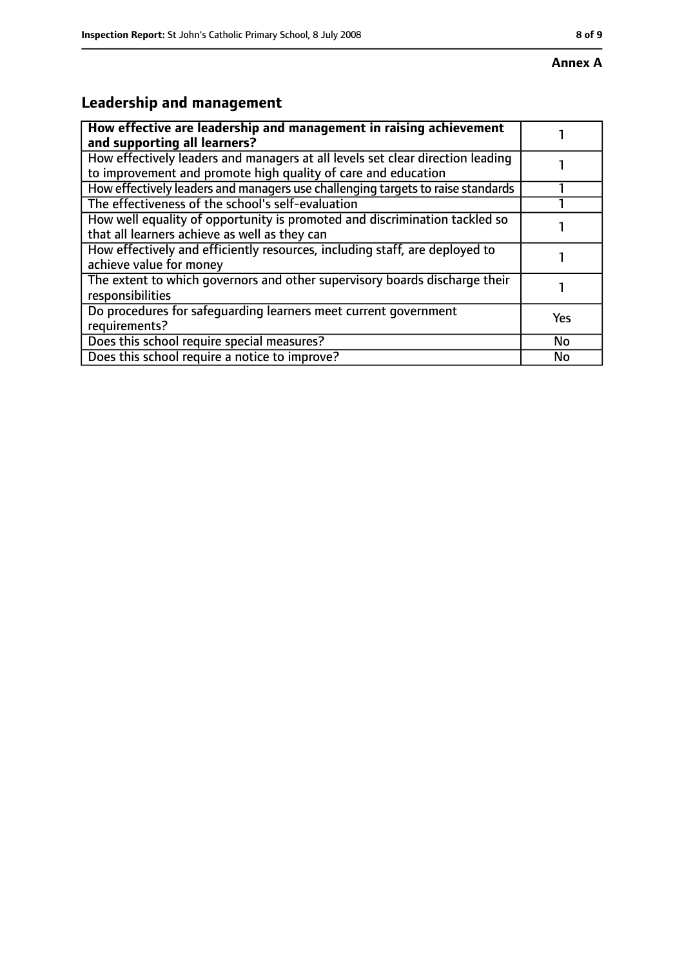# **Leadership and management**

| How effective are leadership and management in raising achievement<br>and supporting all learners?                                              |     |
|-------------------------------------------------------------------------------------------------------------------------------------------------|-----|
| How effectively leaders and managers at all levels set clear direction leading<br>to improvement and promote high quality of care and education |     |
| How effectively leaders and managers use challenging targets to raise standards                                                                 |     |
| The effectiveness of the school's self-evaluation                                                                                               |     |
| How well equality of opportunity is promoted and discrimination tackled so<br>that all learners achieve as well as they can                     |     |
| How effectively and efficiently resources, including staff, are deployed to<br>achieve value for money                                          |     |
| The extent to which governors and other supervisory boards discharge their<br>responsibilities                                                  |     |
| Do procedures for safequarding learners meet current government<br>requirements?                                                                | Yes |
| Does this school require special measures?                                                                                                      | No  |
| Does this school require a notice to improve?                                                                                                   | No  |